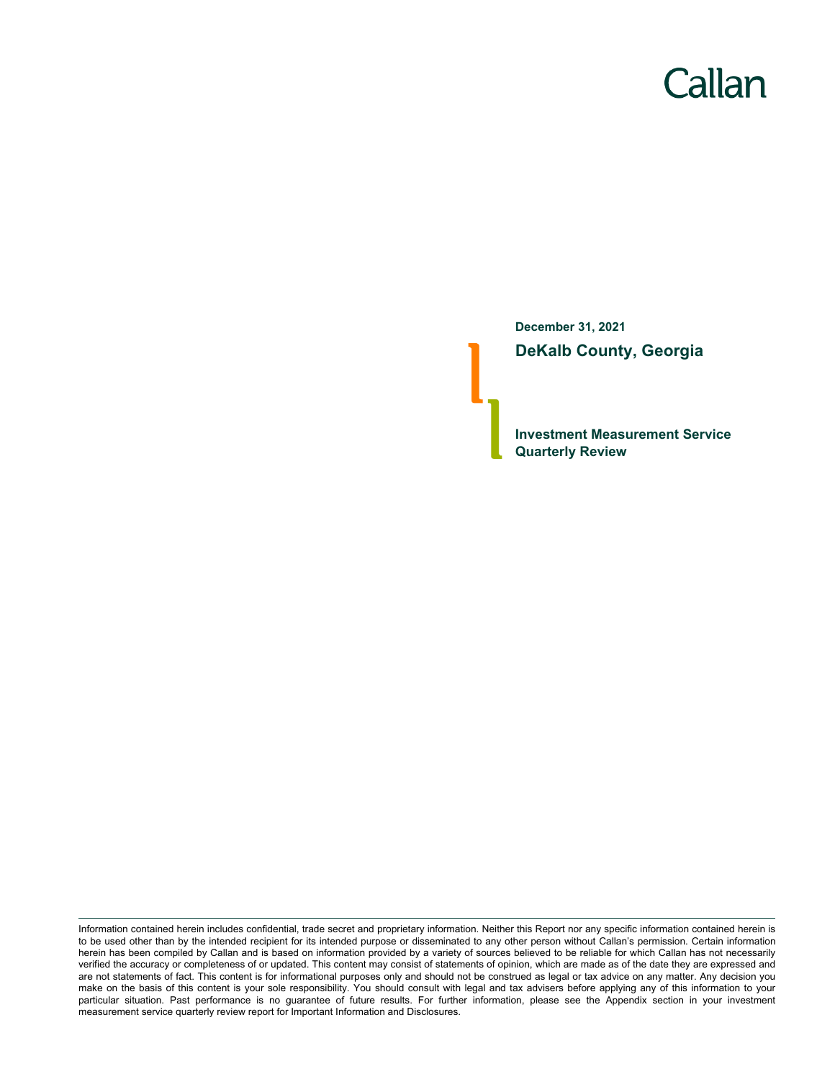# Callan

**December 31, 2021 DeKalb County, Georgia**

**Investment Measurement Service Quarterly Review**

Information contained herein includes confidential, trade secret and proprietary information. Neither this Report nor any specific information contained herein is to be used other than by the intended recipient for its intended purpose or disseminated to any other person without Callan's permission. Certain information herein has been compiled by Callan and is based on information provided by a variety of sources believed to be reliable for which Callan has not necessarily verified the accuracy or completeness of or updated. This content may consist of statements of opinion, which are made as of the date they are expressed and are not statements of fact. This content is for informational purposes only and should not be construed as legal or tax advice on any matter. Any decision you make on the basis of this content is your sole responsibility. You should consult with legal and tax advisers before applying any of this information to your particular situation. Past performance is no guarantee of future results. For further information, please see the Appendix section in your investment measurement service quarterly review report for Important Information and Disclosures.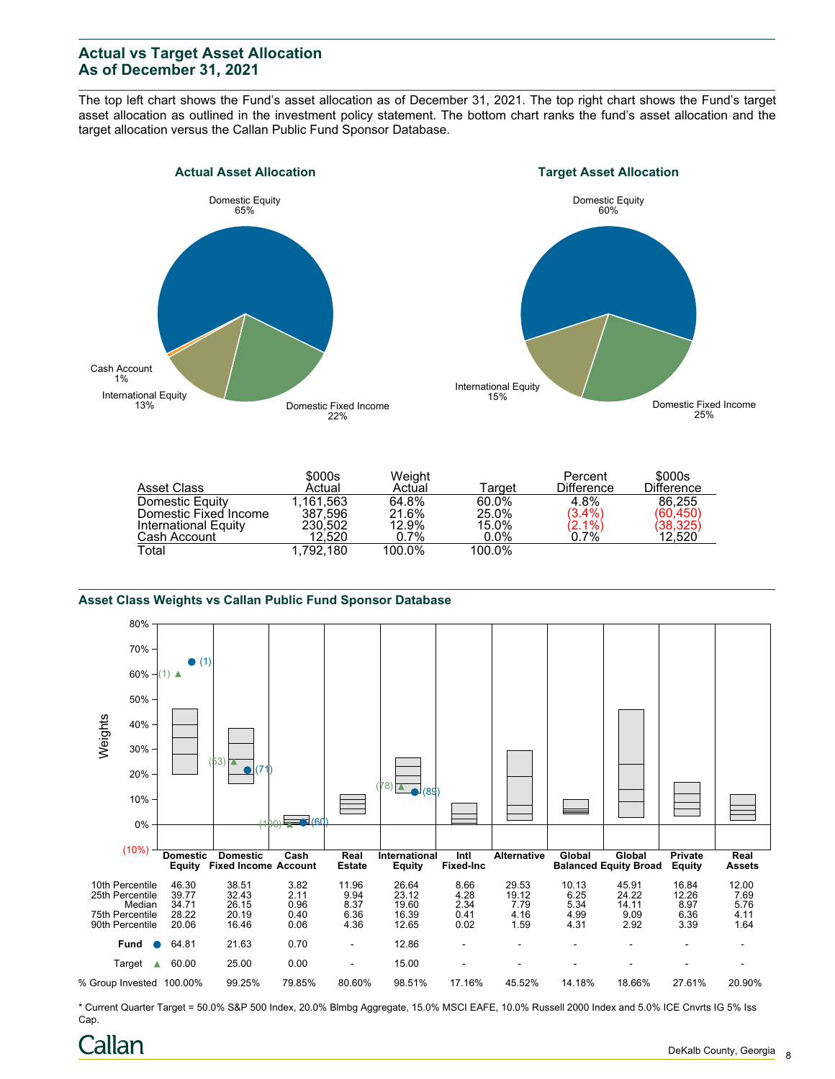## **Actual vs Target Asset Allocation As of December 31, 2021**

The top left chart shows the Fund's asset allocation as of December 31, 2021. The top right chart shows the Fund's target asset allocation as outlined in the investment policy statement. The bottom chart ranks the fund's asset allocation and the target allocation versus the Callan Public Fund Sponsor Database.





|                       | \$000s    | Weight |         | Percent                | \$000s            |
|-----------------------|-----------|--------|---------|------------------------|-------------------|
| Asset Class           | Actual    | Actual | Target  | <b>Difference</b>      | <b>Difference</b> |
| Domestic Equity       | 1.161.563 | 64.8%  | 60.0%   | 4.8%                   | 86.255            |
| Domestic Fixed Income | 387.596   | 21.6%  | 25.0%   | $(3.4\%)$              | (60, 450)         |
| International Equity  | 230.502   | 12.9%  | 15.0%   | $\binom{2.1\%}{0.7\%}$ | (38,325)          |
| Cash Account          | 12.520    | 0.7%   | $0.0\%$ |                        | 12.520            |
| Total                 | 1.792.180 | 100.0% | 100.0%  |                        |                   |

#### **Asset Class Weights vs Callan Public Fund Sponsor Database**



\* Current Quarter Target = 50.0% S&P 500 Index, 20.0% Blmbg Aggregate, 15.0% MSCI EAFE, 10.0% Russell 2000 Index and 5.0% ICE Cnvrts IG 5% Iss Cap.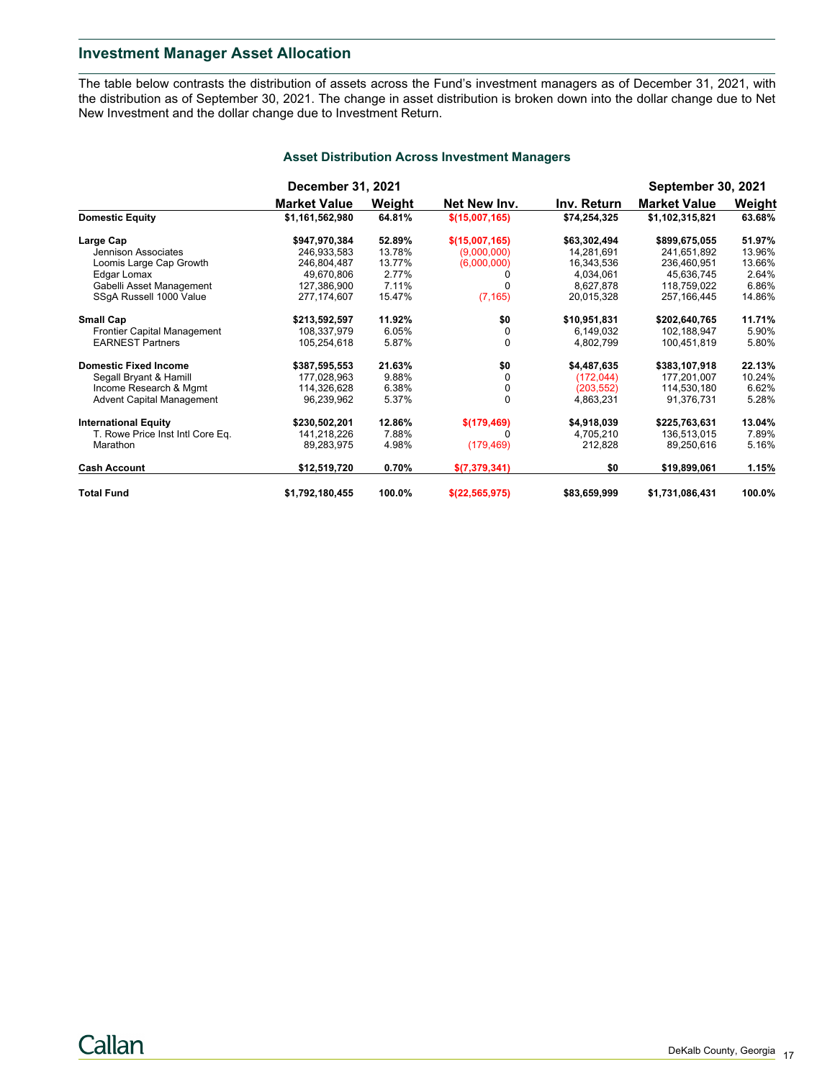## **Investment Manager Asset Allocation**

The table below contrasts the distribution of assets across the Fund's investment managers as of December 31, 2021, with the distribution as of September 30, 2021. The change in asset distribution is broken down into the dollar change due to Net New Investment and the dollar change due to Investment Return.

|                                    | December 31, 2021   |        |                |              | <b>September 30, 2021</b> |        |
|------------------------------------|---------------------|--------|----------------|--------------|---------------------------|--------|
|                                    | <b>Market Value</b> | Weight | Net New Inv.   | Inv. Return  | <b>Market Value</b>       | Weight |
| <b>Domestic Equity</b>             | \$1,161,562,980     | 64.81% | \$(15,007,165) | \$74,254,325 | \$1,102,315,821           | 63.68% |
| Large Cap                          | \$947,970,384       | 52.89% | \$(15,007,165) | \$63,302,494 | \$899,675,055             | 51.97% |
| Jennison Associates                | 246,933,583         | 13.78% | (9,000,000)    | 14,281,691   | 241,651,892               | 13.96% |
| Loomis Large Cap Growth            | 246,804,487         | 13.77% | (6,000,000)    | 16,343,536   | 236,460,951               | 13.66% |
| Edgar Lomax                        | 49,670,806          | 2.77%  | 0              | 4,034,061    | 45,636,745                | 2.64%  |
| Gabelli Asset Management           | 127,386,900         | 7.11%  |                | 8,627,878    | 118,759,022               | 6.86%  |
| SSqA Russell 1000 Value            | 277, 174, 607       | 15.47% | (7, 165)       | 20,015,328   | 257, 166, 445             | 14.86% |
| <b>Small Cap</b>                   | \$213,592,597       | 11.92% | \$0            | \$10,951,831 | \$202,640,765             | 11.71% |
| <b>Frontier Capital Management</b> | 108,337,979         | 6.05%  | 0              | 6,149,032    | 102,188,947               | 5.90%  |
| <b>EARNEST Partners</b>            | 105,254,618         | 5.87%  | $\Omega$       | 4,802,799    | 100,451,819               | 5.80%  |
| <b>Domestic Fixed Income</b>       | \$387,595,553       | 21.63% | \$0            | \$4,487,635  | \$383,107,918             | 22.13% |
| Segall Bryant & Hamill             | 177,028,963         | 9.88%  | $\Omega$       | (172, 044)   | 177,201,007               | 10.24% |
| Income Research & Mgmt             | 114,326,628         | 6.38%  | 0              | (203, 552)   | 114,530,180               | 6.62%  |
| <b>Advent Capital Management</b>   | 96,239,962          | 5.37%  | $\mathbf 0$    | 4,863,231    | 91,376,731                | 5.28%  |
| <b>International Equity</b>        | \$230,502,201       | 12.86% | \$(179,469)    | \$4,918,039  | \$225,763,631             | 13.04% |
| T. Rowe Price Inst Intl Core Eq.   | 141,218,226         | 7.88%  |                | 4,705,210    | 136,513,015               | 7.89%  |
| Marathon                           | 89,283,975          | 4.98%  | (179, 469)     | 212,828      | 89,250,616                | 5.16%  |
| <b>Cash Account</b>                | \$12,519,720        | 0.70%  | \$(7,379,341)  | \$0          | \$19,899,061              | 1.15%  |
| <b>Total Fund</b>                  | \$1,792,180,455     | 100.0% | \$(22,565,975) | \$83,659,999 | \$1,731,086,431           | 100.0% |

#### **Asset Distribution Across Investment Managers**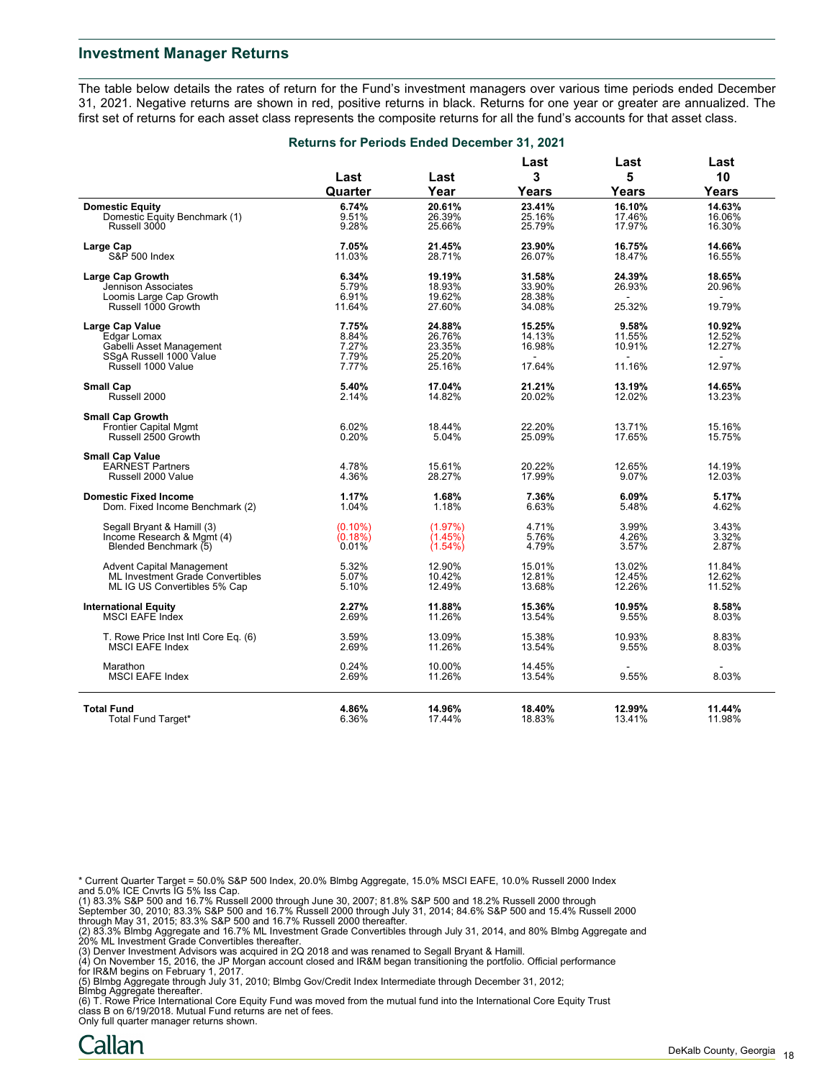#### **Investment Manager Returns**

The table below details the rates of return for the Fund's investment managers over various time periods ended December 31, 2021. Negative returns are shown in red, positive returns in black. Returns for one year or greater are annualized. The first set of returns for each asset class represents the composite returns for all the fund's accounts for that asset class.

|                                                                | Returns for Periods Ended December 31, 2021 |                  |                  |                 |                |  |
|----------------------------------------------------------------|---------------------------------------------|------------------|------------------|-----------------|----------------|--|
|                                                                | Last                                        | Last             | Last<br>3        | Last<br>5       | Last<br>10     |  |
|                                                                | Quarter                                     | Year             | <b>Years</b>     | Years           | Years          |  |
| <b>Domestic Equity</b>                                         | 6.74%                                       | 20.61%           | 23.41%           | 16.10%          | 14.63%         |  |
| Domestic Equity Benchmark (1)                                  | 9.51%                                       | 26.39%           | 25.16%           | 17.46%          | 16.06%         |  |
| Russell 3000                                                   | 9.28%                                       | 25.66%           | 25.79%           | 17.97%          | 16.30%         |  |
| Large Cap                                                      | 7.05%                                       | 21.45%           | 23.90%           | 16.75%          | 14.66%         |  |
| S&P 500 Index                                                  | 11.03%                                      | 28.71%           | 26.07%           | 18.47%          | 16.55%         |  |
| <b>Large Cap Growth</b>                                        | 6.34%                                       | 19.19%           | 31.58%           | 24.39%          | 18.65%         |  |
| Jennison Associates                                            | 5.79%                                       | 18.93%           | 33.90%           | 26.93%          | 20.96%         |  |
| Loomis Large Cap Growth                                        | 6.91%                                       | 19.62%           | 28.38%           | $\sim$          | $\sim$         |  |
| Russell 1000 Growth                                            | 11.64%                                      | 27.60%           | 34.08%           | 25.32%          | 19.79%         |  |
|                                                                |                                             |                  |                  |                 |                |  |
| <b>Large Cap Value</b>                                         | 7.75%                                       | 24.88%           | 15.25%           | 9.58%           | 10.92%         |  |
| Edgar Lomax                                                    | 8.84%                                       | 26.76%           | 14.13%           | 11.55%          | 12.52%         |  |
| Gabelli Asset Management                                       | 7.27%                                       | 23.35%           | 16.98%           | 10.91%          | 12.27%         |  |
| SSgA Russell 1000 Value                                        | 7.79%                                       | 25.20%           | $\sim$           | $\sim$          | $\sim$         |  |
| Russell 1000 Value                                             | 7.77%                                       | 25.16%           | 17.64%           | 11.16%          | 12.97%         |  |
| <b>Small Cap</b>                                               | 5.40%                                       | 17.04%           | 21.21%           | 13.19%          | 14.65%         |  |
| Russell 2000                                                   | 2.14%                                       | 14.82%           | 20.02%           | 12.02%          | 13.23%         |  |
| <b>Small Cap Growth</b>                                        |                                             |                  |                  |                 |                |  |
| <b>Frontier Capital Mgmt</b>                                   | 6.02%                                       | 18.44%           | 22.20%           | 13.71%          | 15.16%         |  |
| Russell 2500 Growth                                            | 0.20%                                       | 5.04%            | 25.09%           | 17.65%          | 15.75%         |  |
| <b>Small Cap Value</b>                                         |                                             |                  |                  |                 |                |  |
| <b>EARNEST Partners</b>                                        | 4.78%                                       | 15.61%           | 20.22%           | 12.65%          | 14.19%         |  |
| Russell 2000 Value                                             | 4.36%                                       | 28.27%           | 17.99%           | 9.07%           | 12.03%         |  |
|                                                                |                                             |                  |                  |                 |                |  |
| <b>Domestic Fixed Income</b>                                   | 1.17%                                       | 1.68%            | 7.36%            | 6.09%           | 5.17%          |  |
| Dom. Fixed Income Benchmark (2)                                | 1.04%                                       | 1.18%            | 6.63%            | 5.48%           | 4.62%          |  |
| Segall Bryant & Hamill (3)                                     | $(0.10\%)$                                  | (1.97%)          | 4.71%            | 3.99%           | 3.43%          |  |
| Income Research & Mgmt (4)                                     | (0.18%)                                     | (1.45%)          | 5.76%            | 4.26%           | 3.32%          |  |
| Blended Benchmark (5)                                          | 0.01%                                       | $(1.54\%)$       | 4.79%            | 3.57%           | 2.87%          |  |
| <b>Advent Capital Management</b>                               | 5.32%                                       | 12.90%           | 15.01%           | 13.02%          | 11.84%         |  |
| ML Investment Grade Convertibles                               | 5.07%                                       | 10.42%           | 12.81%           | 12.45%          | 12.62%         |  |
| ML IG US Convertibles 5% Cap                                   | 5.10%                                       | 12.49%           | 13.68%           | 12.26%          | 11.52%         |  |
| <b>International Equity</b>                                    | 2.27%                                       | 11.88%           | 15.36%           | 10.95%          | 8.58%          |  |
| MSCI EAFE Index                                                | 2.69%                                       | 11.26%           | 13.54%           | 9.55%           | 8.03%          |  |
|                                                                |                                             |                  |                  |                 |                |  |
| T. Rowe Price Inst Intl Core Eq. (6)<br><b>MSCI EAFE Index</b> | 3.59%<br>2.69%                              | 13.09%<br>11.26% | 15.38%<br>13.54% | 10.93%<br>9.55% | 8.83%<br>8.03% |  |
|                                                                |                                             |                  |                  |                 |                |  |
| Marathon                                                       | 0.24%                                       | 10.00%           | 14.45%           |                 |                |  |
| <b>MSCI EAFE Index</b>                                         | 2.69%                                       | 11.26%           | 13.54%           | 9.55%           | 8.03%          |  |
|                                                                |                                             |                  |                  |                 |                |  |
| <b>Total Fund</b>                                              | 4.86%                                       | 14.96%           | 18.40%           | 12.99%          | 11.44%         |  |
| Total Fund Target*                                             | 6.36%                                       | 17.44%           | 18.83%           | 13.41%          | 11.98%         |  |

\* Current Quarter Target = 50.0% S&P 500 Index, 20.0% Blmbg Aggregate, 15.0% MSCI EAFE, 10.0% Russell 2000 Index

and 5.0% ICE Cnvrts IG 5% Iss Cap.<br>(1) 83.3% S&P 500 and 16.7% Russell 2000 through June 30, 2007; 81.8% S&P 500 and 18.2% Russell 2000 through<br>September 30, 2010; 83.3% S&P 500 and 16.7% Russell 2000 through July 31, 2014

(2) 83.3% Blmbg Aggregate and 16.7% ML Investment Grade Convertibles through July 31, 2014, and 80% Blmbg Aggregate and<br>20% ML Investment Grade Convertibles thereafter.<br>(3) Denver Investment Advisors was acquired in 2Q 201

for IR&M begins on February 1, 2017.

(5) Blmbg Aggregate through July 31, 2010; Blmbg Gov/Credit Index Intermediate through December 31, 2012;

Blmbg Aggregate thereafter. (6) T. Rowe Price International Core Equity Fund was moved from the mutual fund into the International Core Equity Trust class B on 6/19/2018. Mutual Fund returns are net of fees.

Only full quarter manager returns shown.

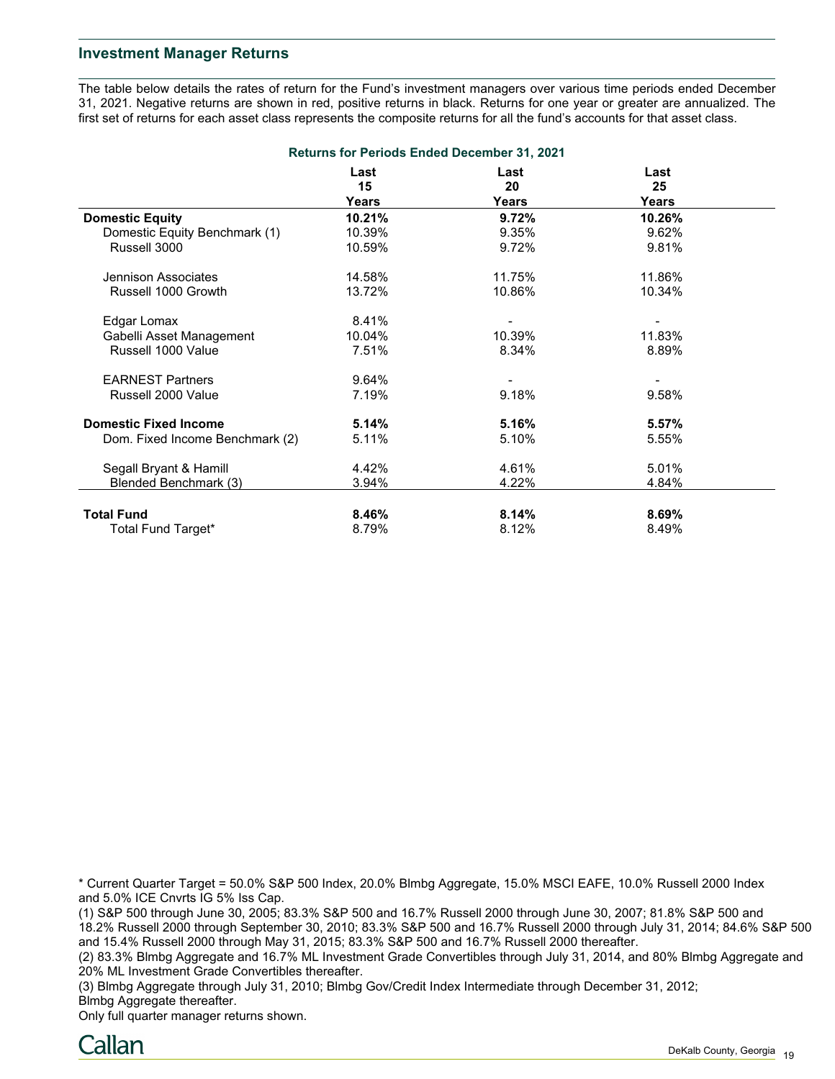### **Investment Manager Returns**

The table below details the rates of return for the Fund's investment managers over various time periods ended December 31, 2021. Negative returns are shown in red, positive returns in black. Returns for one year or greater are annualized. The first set of returns for each asset class represents the composite returns for all the fund's accounts for that asset class.

| <b>Returns for Periods Ended December 31, 2021</b> |            |            |            |  |  |
|----------------------------------------------------|------------|------------|------------|--|--|
|                                                    | Last<br>15 | Last<br>20 | Last<br>25 |  |  |
|                                                    | Years      | Years      | Years      |  |  |
| <b>Domestic Equity</b>                             | 10.21%     | 9.72%      | 10.26%     |  |  |
| Domestic Equity Benchmark (1)                      | 10.39%     | 9.35%      | 9.62%      |  |  |
| Russell 3000                                       | 10.59%     | 9.72%      | 9.81%      |  |  |
| Jennison Associates                                | 14.58%     | 11.75%     | 11.86%     |  |  |
| Russell 1000 Growth                                | 13.72%     | 10.86%     | 10.34%     |  |  |
| Edgar Lomax                                        | 8.41%      |            |            |  |  |
| Gabelli Asset Management                           | 10.04%     | 10.39%     | 11.83%     |  |  |
| Russell 1000 Value                                 | 7.51%      | 8.34%      | 8.89%      |  |  |
| <b>EARNEST Partners</b>                            | 9.64%      |            |            |  |  |
| Russell 2000 Value                                 | 7.19%      | 9.18%      | 9.58%      |  |  |
| <b>Domestic Fixed Income</b>                       | 5.14%      | 5.16%      | 5.57%      |  |  |
| Dom. Fixed Income Benchmark (2)                    | 5.11%      | 5.10%      | 5.55%      |  |  |
| Segall Bryant & Hamill                             | 4.42%      | 4.61%      | 5.01%      |  |  |
| Blended Benchmark (3)                              | 3.94%      | 4.22%      | 4.84%      |  |  |
| <b>Total Fund</b>                                  | 8.46%      | 8.14%      | 8.69%      |  |  |
| Total Fund Target*                                 | 8.79%      | 8.12%      | 8.49%      |  |  |

\* Current Quarter Target = 50.0% S&P 500 Index, 20.0% Blmbg Aggregate, 15.0% MSCI EAFE, 10.0% Russell 2000 Index and 5.0% ICE Cnvrts IG 5% Iss Cap.

(1) S&P 500 through June 30, 2005; 83.3% S&P 500 and 16.7% Russell 2000 through June 30, 2007; 81.8% S&P 500 and 18.2% Russell 2000 through September 30, 2010; 83.3% S&P 500 and 16.7% Russell 2000 through July 31, 2014; 84.6% S&P 500 and 15.4% Russell 2000 through May 31, 2015; 83.3% S&P 500 and 16.7% Russell 2000 thereafter.

(2) 83.3% Blmbg Aggregate and 16.7% ML Investment Grade Convertibles through July 31, 2014, and 80% Blmbg Aggregate and 20% ML Investment Grade Convertibles thereafter.

(3) Blmbg Aggregate through July 31, 2010; Blmbg Gov/Credit Index Intermediate through December 31, 2012; Blmbg Aggregate thereafter.

Only full quarter manager returns shown.